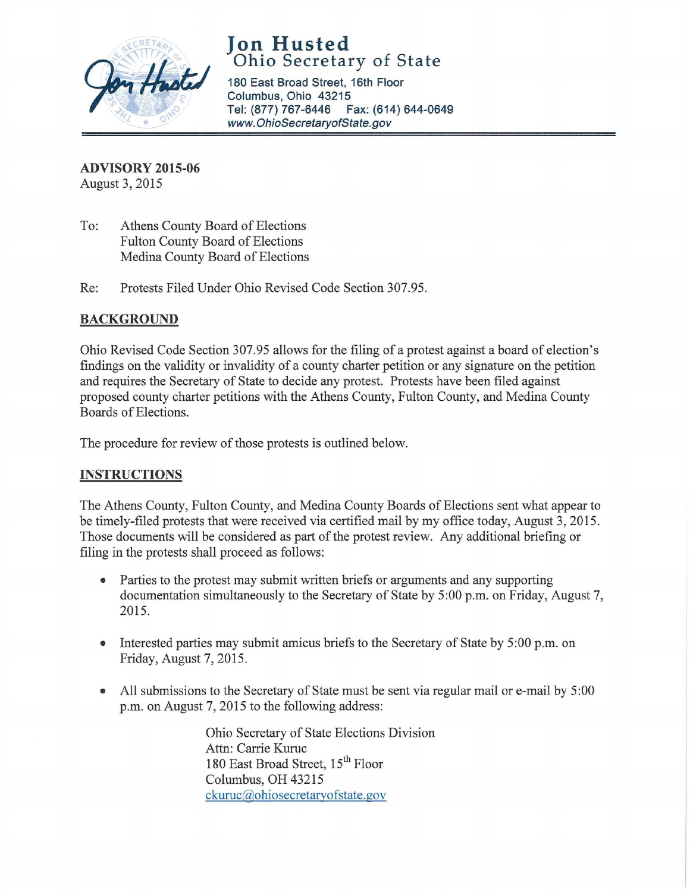

**Jon Husted**  Ohio Secretary of State

180 East Broad Street, 16th Floor Columbus, Ohio 43215 Tel: (877) 767-6446 Fax: (614) 644-0649 www.OhioSecretaryofState.gov

**ADVISORY 2015-06**  August 3, 2015

To: Athens County Board of Elections Fulton County Board of Elections Medina County Board of Elections

Re: Protests Filed Under Ohio Revised Code Section 307.95.

## **BACKGROUND**

Ohio Revised Code Section 307.95 allows for the filing of a protest against a board of election's findings on the validity or invalidity of a county charter petition or any signature on the petition and requires the Secretary of State to decide any protest. Protests have been filed against proposed county charter petitions with the Athens County, Fulton County, and Medina County Boards of Elections.

The procedure for review of those protests is outlined below.

## **INSTRUCTIONS**

The Athens County, Fulton County, and Medina County Boards of Elections sent what appear to be timely-filed protests that were received via certified mail by my office today, August 3, 2015. Those documents will be considered as part of the protest review. Any additional briefing or filing in the protests shall proceed as follows:

- Parties to the protest may submit written briefs or arguments and any supporting documentation simultaneously to the Secretary of State by 5 :00 p.m. on Friday, August 7, 2015.
- Interested parties may submit amicus briefs to the Secretary of State by 5:00 p.m. on Friday, August 7, 2015.
- All submissions to the Secretary of State must be sent via regular mail or e-mail by 5:00 p.m. on August 7, 2015 to the following address:

Ohio Secretary of State Elections Division Attn: Carrie Kuruc 180 East Broad Street, 15<sup>th</sup> Floor Columbus, OH 43215 ckuruc@ohiosecretaryofstate.gov